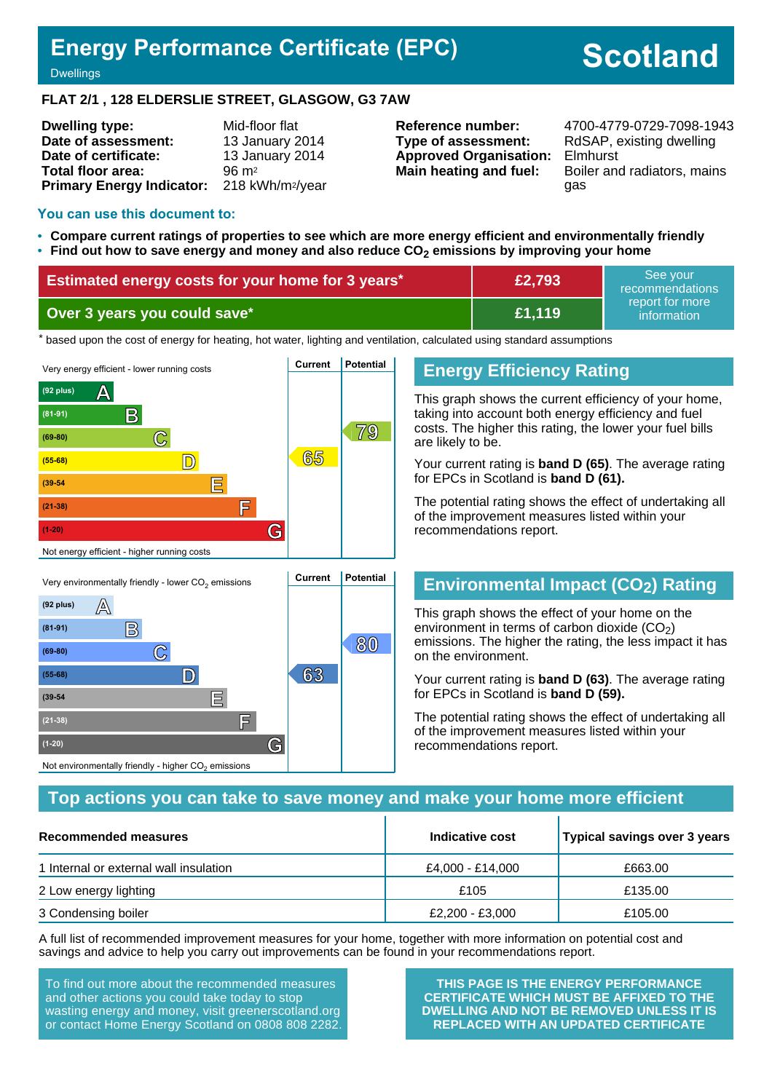# **Energy Performance Certificate (EPC)**

# **Scotland**

**Dwellings** 

#### **FLAT 2/1 , 128 ELDERSLIE STREET, GLASGOW, G3 7AW**

| <b>Dwelling type:</b>            | Mid-floor flat               |  |  |
|----------------------------------|------------------------------|--|--|
| Date of assessment:              | 13 January 2014              |  |  |
| Date of certificate:             | 13 January 2014              |  |  |
| Total floor area:                | $96 \text{ m}^2$             |  |  |
| <b>Primary Energy Indicator:</b> | 218 kWh/m <sup>2</sup> /year |  |  |

**Type of assessment:** RdSAP, existing dwelling **Approved Organisation:** Elmhurst

**Reference number:** 4700-4779-0729-7098-1943 **Main heating and fuel:** Boiler and radiators, mains gas

#### **You can use this document to:**

- **Compare current ratings of properties to see which are more energy efficient and environmentally friendly**
- **Find out how to save energy and money and also reduce CO2 emissions by improving your home**

| <b>Estimated energy costs for your home for 3 years*</b> | £2,793        | 'See vour<br>recommendations                |  |
|----------------------------------------------------------|---------------|---------------------------------------------|--|
| Over 3 years you could save*                             | <b>E1.119</b> | report for more<br>information <sup>1</sup> |  |

the based upon the cost of energy for heating, hot water, lighting and ventilation, calculated using standard assumptions



### **Energy Efficiency Rating**

This graph shows the current efficiency of your home, taking into account both energy efficiency and fuel costs. The higher this rating, the lower your fuel bills are likely to be.

Your current rating is **band D (65)**. The average rating for EPCs in Scotland is **band D (61).**

The potential rating shows the effect of undertaking all of the improvement measures listed within your recommendations report.

# **Environmental Impact (CO2) Rating**

This graph shows the effect of your home on the environment in terms of carbon dioxide  $(CO<sub>2</sub>)$ emissions. The higher the rating, the less impact it has on the environment.

Your current rating is **band D (63)**. The average rating for EPCs in Scotland is **band D (59).**

The potential rating shows the effect of undertaking all of the improvement measures listed within your recommendations report.

#### **Top actions you can take to save money and make your home more efficient**

| Recommended measures                   | Indicative cost  | Typical savings over 3 years |
|----------------------------------------|------------------|------------------------------|
| 1 Internal or external wall insulation | £4,000 - £14,000 | £663.00                      |
| 2 Low energy lighting                  | £105             | £135.00                      |
| 3 Condensing boiler                    | £2,200 - £3,000  | £105.00                      |

A full list of recommended improvement measures for your home, together with more information on potential cost and savings and advice to help you carry out improvements can be found in your recommendations report.

To find out more about the recommended measures and other actions you could take today to stop wasting energy and money, visit greenerscotland.org or contact Home Energy Scotland on 0808 808 2282.

**(1-20) G**

Not environmentally friendly - higher  $\mathrm{CO}_2$  emissions

**THIS PAGE IS THE ENERGY PERFORMANCE CERTIFICATE WHICH MUST BE AFFIXED TO THE DWELLING AND NOT BE REMOVED UNLESS IT IS REPLACED WITH AN UPDATED CERTIFICATE**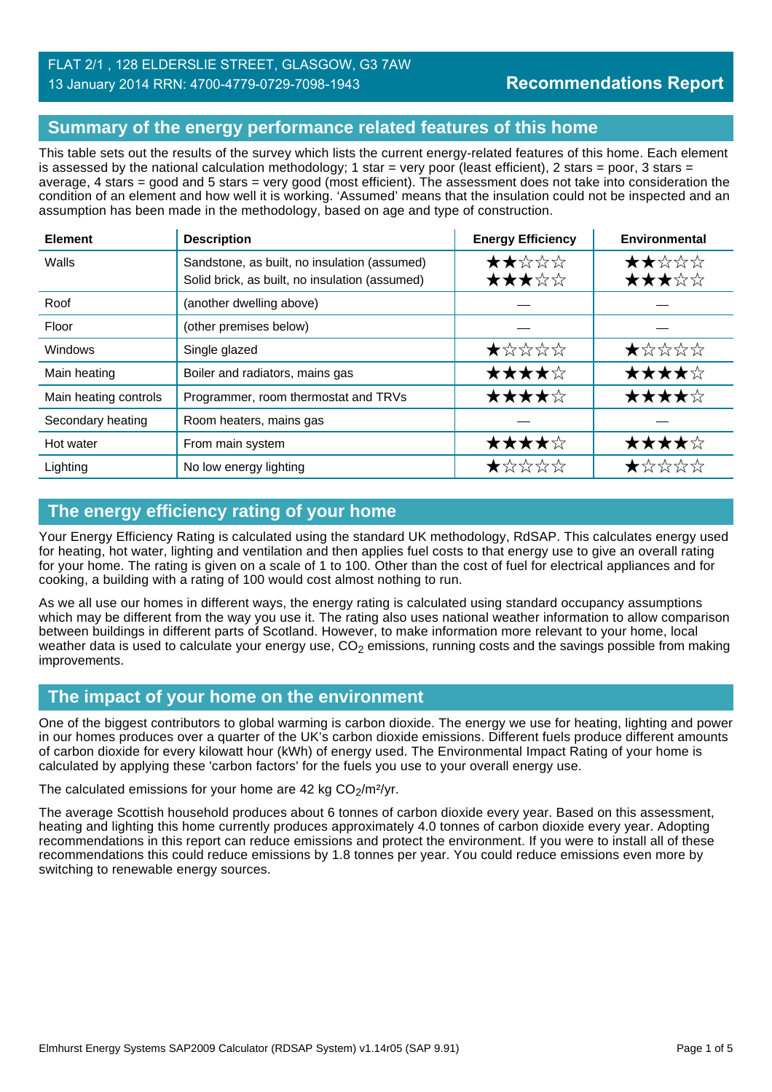# **Summary of the energy performance related features of this home**

This table sets out the results of the survey which lists the current energy-related features of this home. Each element is assessed by the national calculation methodology; 1 star = very poor (least efficient), 2 stars = poor, 3 stars = average, 4 stars = good and 5 stars = very good (most efficient). The assessment does not take into consideration the condition of an element and how well it is working. 'Assumed' means that the insulation could not be inspected and an assumption has been made in the methodology, based on age and type of construction.

| <b>Element</b>        | <b>Description</b>                                                                             | <b>Energy Efficiency</b> | Environmental                                                                  |
|-----------------------|------------------------------------------------------------------------------------------------|--------------------------|--------------------------------------------------------------------------------|
| Walls                 | Sandstone, as built, no insulation (assumed)<br>Solid brick, as built, no insulation (assumed) | ★★☆☆☆<br>★★★☆☆           | ★★☆☆☆<br>★★★☆☆                                                                 |
| Roof                  | (another dwelling above)                                                                       |                          |                                                                                |
| Floor                 | (other premises below)                                                                         |                          |                                                                                |
| <b>Windows</b>        | Single glazed                                                                                  | ★☆☆☆☆                    | $\bigstar\uparrow\downarrow\downarrow\downarrow\downarrow\downarrow\downarrow$ |
| Main heating          | Boiler and radiators, mains gas                                                                | ★★★★☆                    | ★★★★☆                                                                          |
| Main heating controls | Programmer, room thermostat and TRVs                                                           | ★★★★☆                    | ★★★★☆                                                                          |
| Secondary heating     | Room heaters, mains gas                                                                        |                          |                                                                                |
| Hot water             | From main system                                                                               | ★★★★☆                    | ★★★★☆                                                                          |
| Lighting              | No low energy lighting                                                                         | ★☆☆☆☆                    | ★☆☆☆☆                                                                          |

# **The energy efficiency rating of your home**

Your Energy Efficiency Rating is calculated using the standard UK methodology, RdSAP. This calculates energy used for heating, hot water, lighting and ventilation and then applies fuel costs to that energy use to give an overall rating for your home. The rating is given on a scale of 1 to 100. Other than the cost of fuel for electrical appliances and for cooking, a building with a rating of 100 would cost almost nothing to run.

As we all use our homes in different ways, the energy rating is calculated using standard occupancy assumptions which may be different from the way you use it. The rating also uses national weather information to allow comparison between buildings in different parts of Scotland. However, to make information more relevant to your home, local weather data is used to calculate your energy use,  $CO<sub>2</sub>$  emissions, running costs and the savings possible from making improvements.

# **The impact of your home on the environment**

One of the biggest contributors to global warming is carbon dioxide. The energy we use for heating, lighting and power in our homes produces over a quarter of the UK's carbon dioxide emissions. Different fuels produce different amounts of carbon dioxide for every kilowatt hour (kWh) of energy used. The Environmental Impact Rating of your home is calculated by applying these 'carbon factors' for the fuels you use to your overall energy use.

The calculated emissions for your home are 42 kg  $CO<sub>2</sub>/m<sup>2</sup>/yr$ .

The average Scottish household produces about 6 tonnes of carbon dioxide every year. Based on this assessment, heating and lighting this home currently produces approximately 4.0 tonnes of carbon dioxide every year. Adopting recommendations in this report can reduce emissions and protect the environment. If you were to install all of these recommendations this could reduce emissions by 1.8 tonnes per year. You could reduce emissions even more by switching to renewable energy sources.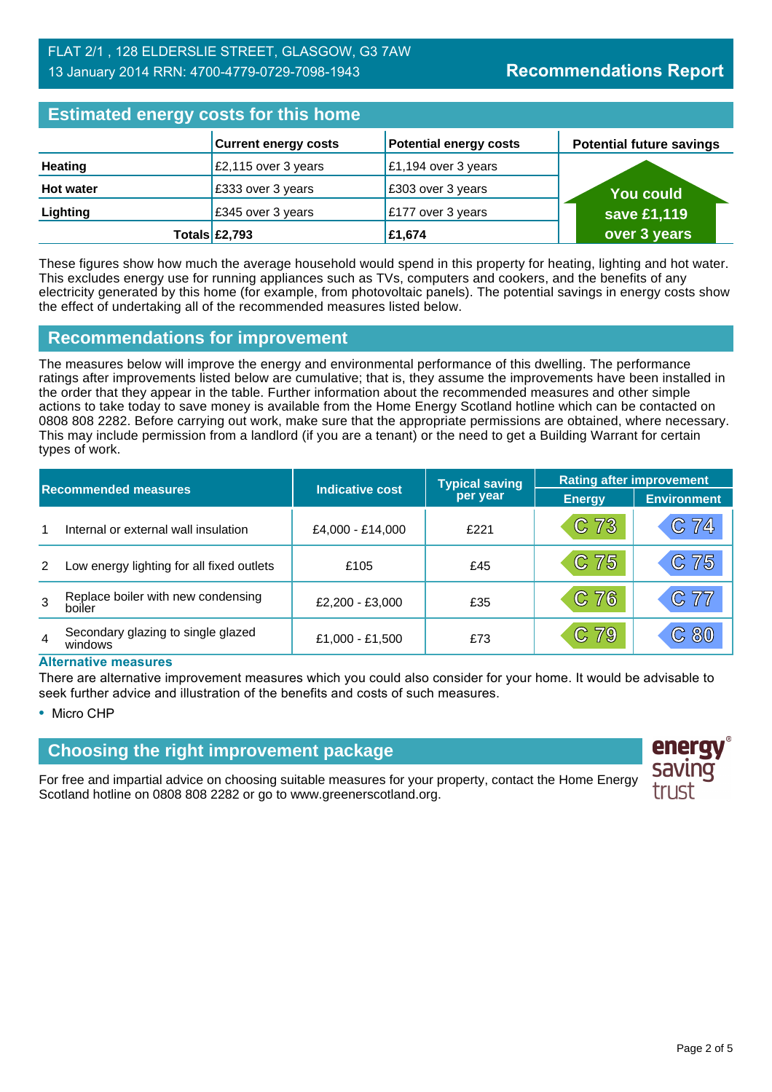| <b>Estimated energy costs for this home</b> |                             |                               |  |                                 |
|---------------------------------------------|-----------------------------|-------------------------------|--|---------------------------------|
|                                             | <b>Current energy costs</b> | <b>Potential energy costs</b> |  | <b>Potential future savings</b> |
| <b>Heating</b>                              | £2,115 over 3 years         | £1,194 over 3 years           |  |                                 |
| <b>Hot water</b>                            | £333 over 3 years           | £303 over 3 years             |  | You could                       |
| Lighting                                    | £345 over 3 years           | £177 over 3 years             |  | save £1,119                     |
|                                             | Totals $£2,793$             | £1,674                        |  | over 3 years                    |

These figures show how much the average household would spend in this property for heating, lighting and hot water. This excludes energy use for running appliances such as TVs, computers and cookers, and the benefits of any electricity generated by this home (for example, from photovoltaic panels). The potential savings in energy costs show the effect of undertaking all of the recommended measures listed below.

### **Recommendations for improvement**

The measures below will improve the energy and environmental performance of this dwelling. The performance ratings after improvements listed below are cumulative; that is, they assume the improvements have been installed in the order that they appear in the table. Further information about the recommended measures and other simple actions to take today to save money is available from the Home Energy Scotland hotline which can be contacted on 0808 808 2282. Before carrying out work, make sure that the appropriate permissions are obtained, where necessary. This may include permission from a landlord (if you are a tenant) or the need to get a Building Warrant for certain types of work.

| <b>Recommended measures</b> |                                               |                        | <b>Typical saving</b> | <b>Rating after improvement</b> |                    |  |
|-----------------------------|-----------------------------------------------|------------------------|-----------------------|---------------------------------|--------------------|--|
|                             |                                               | <b>Indicative cost</b> | per year              | <b>Energy</b>                   | <b>Environment</b> |  |
|                             | Internal or external wall insulation          | £4,000 - £14,000       | £221                  | C 73                            | C 74               |  |
| 2                           | Low energy lighting for all fixed outlets     | £105                   | £45                   | C 75                            | C 75               |  |
| 3                           | Replace boiler with new condensing<br>boiler  | £2,200 - £3,000        | £35                   | C 76                            | C 77               |  |
| 4                           | Secondary glazing to single glazed<br>windows | £1,000 - £1,500        | £73                   | C 79                            | $\mathbb{C}$ 80    |  |

#### **Alternative measures**

There are alternative improvement measures which you could also consider for your home. It would be advisable to seek further advice and illustration of the benefits and costs of such measures.

• Micro CHP

# **Choosing the right improvement package**

For free and impartial advice on choosing suitable measures for your property, contact the Home Energy Scotland hotline on 0808 808 2282 or go to www.greenerscotland.org.

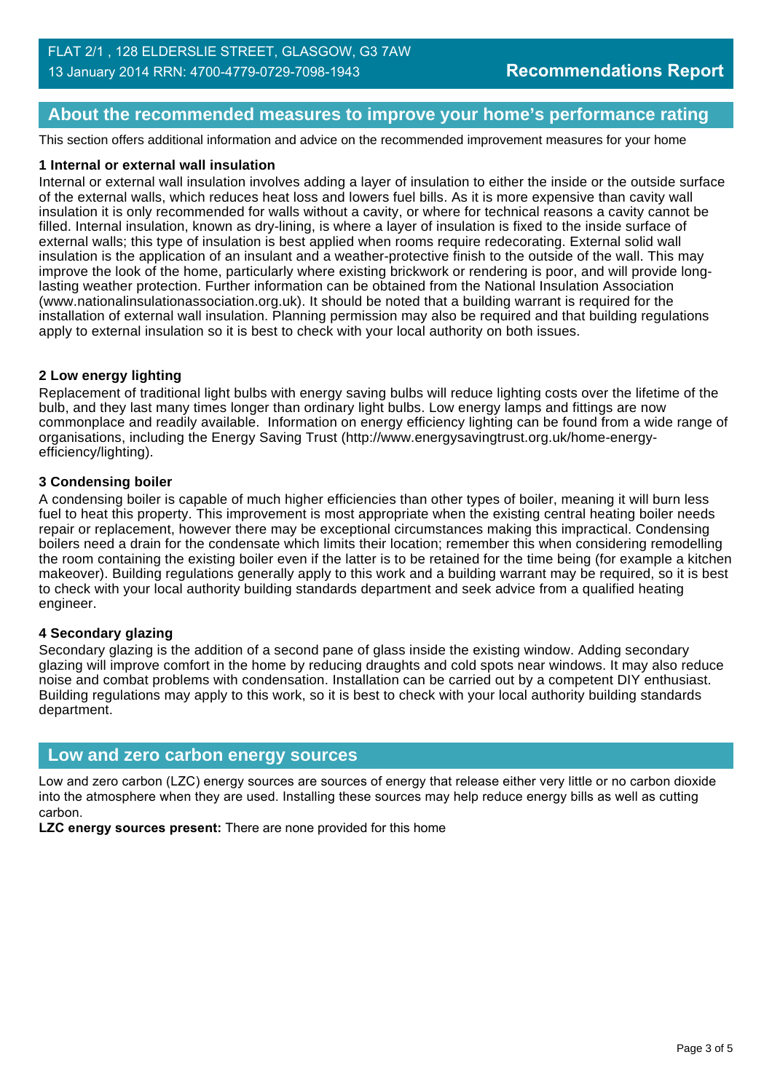## **About the recommended measures to improve your home's performance rating**

This section offers additional information and advice on the recommended improvement measures for your home

#### **1 Internal or external wall insulation**

Internal or external wall insulation involves adding a layer of insulation to either the inside or the outside surface of the external walls, which reduces heat loss and lowers fuel bills. As it is more expensive than cavity wall insulation it is only recommended for walls without a cavity, or where for technical reasons a cavity cannot be filled. Internal insulation, known as dry-lining, is where a layer of insulation is fixed to the inside surface of external walls; this type of insulation is best applied when rooms require redecorating. External solid wall insulation is the application of an insulant and a weather-protective finish to the outside of the wall. This may improve the look of the home, particularly where existing brickwork or rendering is poor, and will provide longlasting weather protection. Further information can be obtained from the National Insulation Association (www.nationalinsulationassociation.org.uk). It should be noted that a building warrant is required for the installation of external wall insulation. Planning permission may also be required and that building regulations apply to external insulation so it is best to check with your local authority on both issues.

#### **2 Low energy lighting**

Replacement of traditional light bulbs with energy saving bulbs will reduce lighting costs over the lifetime of the bulb, and they last many times longer than ordinary light bulbs. Low energy lamps and fittings are now commonplace and readily available. Information on energy efficiency lighting can be found from a wide range of organisations, including the Energy Saving Trust (http://www.energysavingtrust.org.uk/home-energyefficiency/lighting).

#### **3 Condensing boiler**

A condensing boiler is capable of much higher efficiencies than other types of boiler, meaning it will burn less fuel to heat this property. This improvement is most appropriate when the existing central heating boiler needs repair or replacement, however there may be exceptional circumstances making this impractical. Condensing boilers need a drain for the condensate which limits their location; remember this when considering remodelling the room containing the existing boiler even if the latter is to be retained for the time being (for example a kitchen makeover). Building regulations generally apply to this work and a building warrant may be required, so it is best to check with your local authority building standards department and seek advice from a qualified heating engineer.

#### **4 Secondary glazing**

Secondary glazing is the addition of a second pane of glass inside the existing window. Adding secondary glazing will improve comfort in the home by reducing draughts and cold spots near windows. It may also reduce noise and combat problems with condensation. Installation can be carried out by a competent DIY enthusiast. Building regulations may apply to this work, so it is best to check with your local authority building standards department.

#### **Low and zero carbon energy sources**

Low and zero carbon (LZC) energy sources are sources of energy that release either very little or no carbon dioxide into the atmosphere when they are used. Installing these sources may help reduce energy bills as well as cutting carbon.

**LZC energy sources present:** There are none provided for this home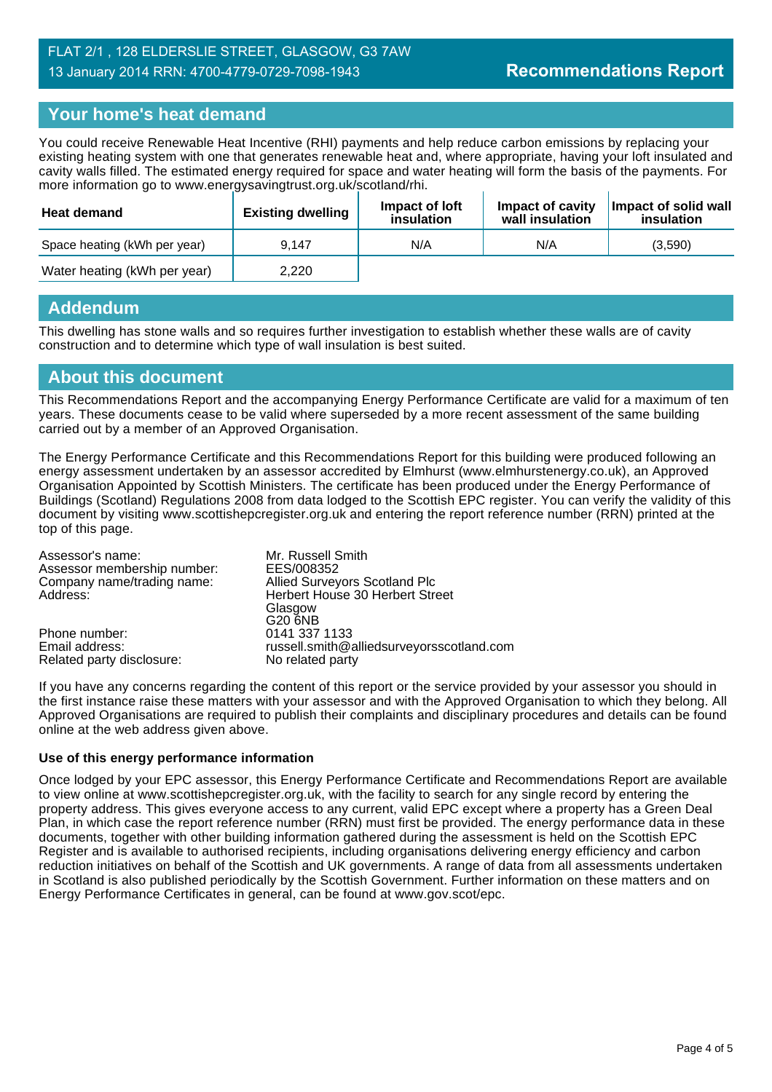# **Your home's heat demand**

You could receive Renewable Heat Incentive (RHI) payments and help reduce carbon emissions by replacing your existing heating system with one that generates renewable heat and, where appropriate, having your loft insulated and cavity walls filled. The estimated energy required for space and water heating will form the basis of the payments. For more information go to www.energysavingtrust.org.uk/scotland/rhi.

| <b>Heat demand</b>           | <b>Existing dwelling</b> | Impact of Joft<br>insulation | Impact of cavity<br>wall insulation | Impact of solid wall<br>insulation |
|------------------------------|--------------------------|------------------------------|-------------------------------------|------------------------------------|
| Space heating (kWh per year) | 9.147                    | N/A                          | N/A                                 | (3.590)                            |
| Water heating (kWh per year) | 2.220                    |                              |                                     |                                    |

#### **Addendum**

This dwelling has stone walls and so requires further investigation to establish whether these walls are of cavity construction and to determine which type of wall insulation is best suited.

#### **About this document**

This Recommendations Report and the accompanying Energy Performance Certificate are valid for a maximum of ten years. These documents cease to be valid where superseded by a more recent assessment of the same building carried out by a member of an Approved Organisation.

The Energy Performance Certificate and this Recommendations Report for this building were produced following an energy assessment undertaken by an assessor accredited by Elmhurst (www.elmhurstenergy.co.uk), an Approved Organisation Appointed by Scottish Ministers. The certificate has been produced under the Energy Performance of Buildings (Scotland) Regulations 2008 from data lodged to the Scottish EPC register. You can verify the validity of this document by visiting www.scottishepcregister.org.uk and entering the report reference number (RRN) printed at the top of this page.

| Assessor's name:<br>Assessor membership number: | Mr. Russell Smith<br>EES/008352           |
|-------------------------------------------------|-------------------------------------------|
| Company name/trading name:                      | <b>Allied Surveyors Scotland Plc</b>      |
| Address:                                        | Herbert House 30 Herbert Street           |
|                                                 | Glasgow                                   |
|                                                 | G20 6NB                                   |
| Phone number:                                   | 0141 337 1133                             |
| Email address:                                  | russell.smith@alliedsurveyorsscotland.com |
| Related party disclosure:                       | No related party                          |

If you have any concerns regarding the content of this report or the service provided by your assessor you should in the first instance raise these matters with your assessor and with the Approved Organisation to which they belong. All Approved Organisations are required to publish their complaints and disciplinary procedures and details can be found online at the web address given above.

#### **Use of this energy performance information**

Once lodged by your EPC assessor, this Energy Performance Certificate and Recommendations Report are available to view online at www.scottishepcregister.org.uk, with the facility to search for any single record by entering the property address. This gives everyone access to any current, valid EPC except where a property has a Green Deal Plan, in which case the report reference number (RRN) must first be provided. The energy performance data in these documents, together with other building information gathered during the assessment is held on the Scottish EPC Register and is available to authorised recipients, including organisations delivering energy efficiency and carbon reduction initiatives on behalf of the Scottish and UK governments. A range of data from all assessments undertaken in Scotland is also published periodically by the Scottish Government. Further information on these matters and on Energy Performance Certificates in general, can be found at www.gov.scot/epc.